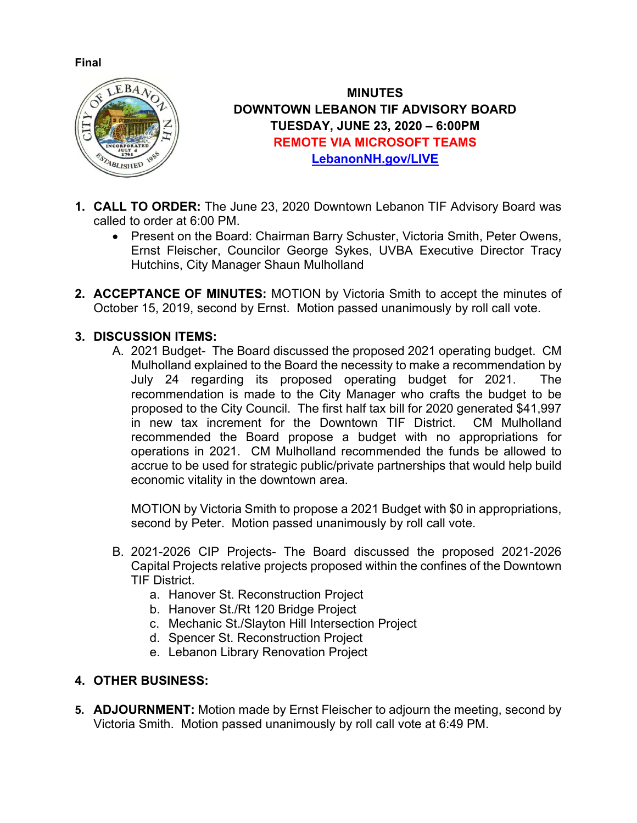## **Final**



**MINUTES DOWNTOWN LEBANON TIF ADVISORY BOARD TUESDAY, JUNE 23, 2020 – 6:00PM REMOTE VIA MICROSOFT TEAMS [LebanonNH.gov/LIVE](https://lebanonnh.gov/Live)**

- **1. CALL TO ORDER:** The June 23, 2020 Downtown Lebanon TIF Advisory Board was called to order at 6:00 PM.
	- Present on the Board: Chairman Barry Schuster, Victoria Smith, Peter Owens, Ernst Fleischer, Councilor George Sykes, UVBA Executive Director Tracy Hutchins, City Manager Shaun Mulholland
- **2. ACCEPTANCE OF MINUTES:** MOTION by Victoria Smith to accept the minutes of October 15, 2019, second by Ernst. Motion passed unanimously by roll call vote.

## **3. DISCUSSION ITEMS:**

A. 2021 Budget- The Board discussed the proposed 2021 operating budget. CM Mulholland explained to the Board the necessity to make a recommendation by July 24 regarding its proposed operating budget for 2021. The recommendation is made to the City Manager who crafts the budget to be proposed to the City Council. The first half tax bill for 2020 generated \$41,997 in new tax increment for the Downtown TIF District. CM Mulholland recommended the Board propose a budget with no appropriations for operations in 2021. CM Mulholland recommended the funds be allowed to accrue to be used for strategic public/private partnerships that would help build economic vitality in the downtown area.

MOTION by Victoria Smith to propose a 2021 Budget with \$0 in appropriations, second by Peter. Motion passed unanimously by roll call vote.

- B. 2021-2026 CIP Projects- The Board discussed the proposed 2021-2026 Capital Projects relative projects proposed within the confines of the Downtown TIF District.
	- a. Hanover St. Reconstruction Project
	- b. Hanover St./Rt 120 Bridge Project
	- c. Mechanic St./Slayton Hill Intersection Project
	- d. Spencer St. Reconstruction Project
	- e. Lebanon Library Renovation Project

## **4. OTHER BUSINESS:**

**5. ADJOURNMENT:** Motion made by Ernst Fleischer to adjourn the meeting, second by Victoria Smith. Motion passed unanimously by roll call vote at 6:49 PM.